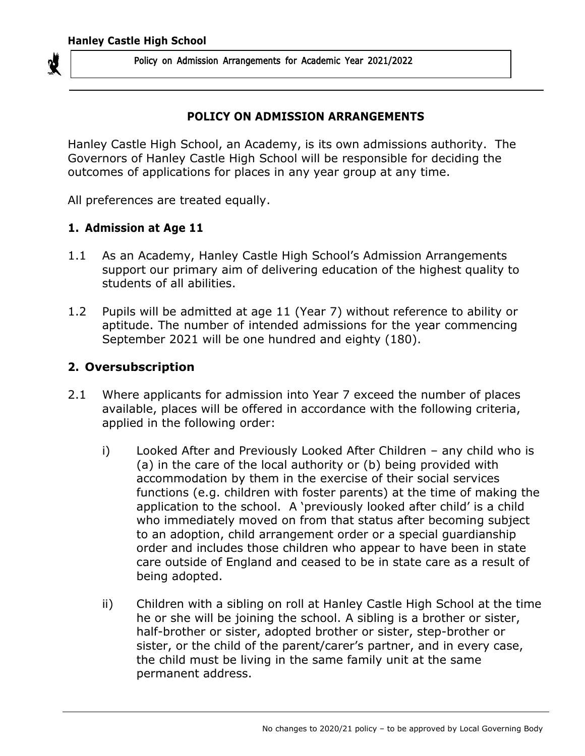

#### **POLICY ON ADMISSION ARRANGEMENTS**

Hanley Castle High School, an Academy, is its own admissions authority. The Governors of Hanley Castle High School will be responsible for deciding the outcomes of applications for places in any year group at any time.

All preferences are treated equally.

#### **1. Admission at Age 11**

- 1.1 As an Academy, Hanley Castle High School's Admission Arrangements support our primary aim of delivering education of the highest quality to students of all abilities.
- 1.2 Pupils will be admitted at age 11 (Year 7) without reference to ability or aptitude. The number of intended admissions for the year commencing September 2021 will be one hundred and eighty (180).

### **2. Oversubscription**

- 2.1 Where applicants for admission into Year 7 exceed the number of places available, places will be offered in accordance with the following criteria, applied in the following order:
	- i) Looked After and Previously Looked After Children any child who is (a) in the care of the local authority or (b) being provided with accommodation by them in the exercise of their social services functions (e.g. children with foster parents) at the time of making the application to the school. A 'previously looked after child' is a child who immediately moved on from that status after becoming subject to an adoption, child arrangement order or a special guardianship order and includes those children who appear to have been in state care outside of England and ceased to be in state care as a result of being adopted.
	- ii) Children with a sibling on roll at Hanley Castle High School at the time he or she will be joining the school. A sibling is a brother or sister, half-brother or sister, adopted brother or sister, step-brother or sister, or the child of the parent/carer's partner, and in every case, the child must be living in the same family unit at the same permanent address.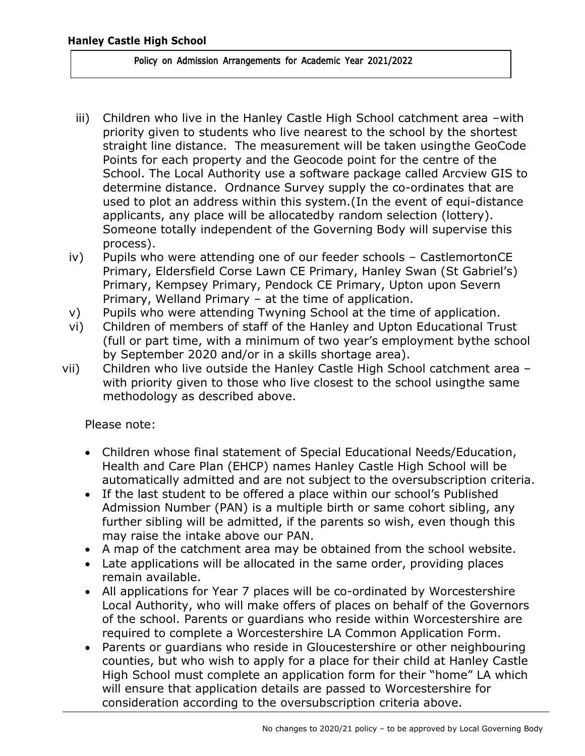- iii) Children who live in the Hanley Castle High School catchment area –with priority given to students who live nearest to the school by the shortest straight line distance. The measurement will be taken using the GeoCode Points for each property and the Geocode point for the centre of the School. The Local Authority use a software package called Arcview GIS to determine distance. Ordnance Survey supply the co-ordinates that are used to plot an address within this system.(In the event of equi-distance applicants, any place will be allocatedby random selection (lottery). Someone totally independent of the Governing Body will supervise this process).
- iv) Pupils who were attending one of our feeder schools CastlemortonCE Primary, Eldersfield Corse Lawn CE Primary, Hanley Swan (St Gabriel's) Primary, Kempsey Primary, Pendock CE Primary, Upton upon Severn Primary, Welland Primary – at the time of application.
- v) Pupils who were attending Twyning School at the time of application.
- vi) Children of members of staff of the Hanley and Upton Educational Trust (full or part time, with a minimum of two year's employment bythe school by September 2020 and/or in a skills shortage area).
- vii) Children who live outside the Hanley Castle High School catchment area with priority given to those who live closest to the school usingthe same methodology as described above.

Please note:

- Children whose final statement of Special Educational Needs/Education, Health and Care Plan (EHCP) names Hanley Castle High School will be automatically admitted and are not subject to the oversubscription criteria.
- If the last student to be offered a place within our school's Published Admission Number (PAN) is a multiple birth or same cohort sibling, any further sibling will be admitted, if the parents so wish, even though this may raise the intake above our PAN.
- A map of the catchment area may be obtained from the school website.
- Late applications will be allocated in the same order, providing places remain available.
- All applications for Year 7 places will be co-ordinated by Worcestershire Local Authority, who will make offers of places on behalf of the Governors of the school. Parents or guardians who reside within Worcestershire are required to complete a Worcestershire LA Common Application Form.
- Parents or guardians who reside in Gloucestershire or other neighbouring counties, but who wish to apply for a place for their child at Hanley Castle High School must complete an application form for their "home" LA which will ensure that application details are passed to Worcestershire for consideration according to the oversubscription criteria above.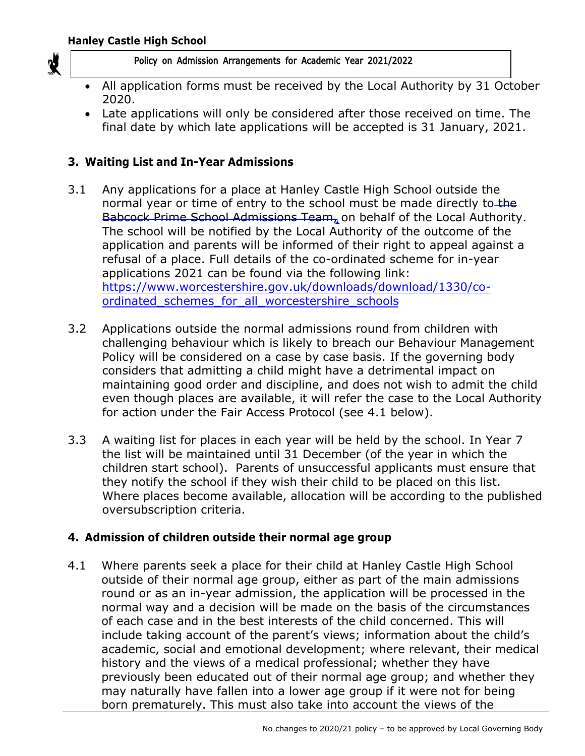

- All application forms must be received by the Local Authority by 31 October 2020.
- Late applications will only be considered after those received on time. The final date by which late applications will be accepted is 31 January, 2021.

# **3. Waiting List and In-Year Admissions**

- 3.1 Any applications for a place at Hanley Castle High School outside the normal year or time of entry to the school must be made directly to the Babcock Prime School Admissions Team, on behalf of the Local Authority. The school will be notified by the Local Authority of the outcome of the application and parents will be informed of their right to appeal against a refusal of a place. Full details of the co-ordinated scheme for in-year applications 2021 can be found via the following link: [https://www.worcestershire.gov.uk/downloads/download/1330/co](https://www.worcestershire.gov.uk/downloads/download/1330/co-ordinated_schemes_for_all_worcestershire_schools)[ordinated\\_schemes\\_for\\_all\\_worcestershire\\_schools](https://www.worcestershire.gov.uk/downloads/download/1330/co-ordinated_schemes_for_all_worcestershire_schools)
- 3.2 Applications outside the normal admissions round from children with challenging behaviour which is likely to breach our Behaviour Management Policy will be considered on a case by case basis. If the governing body considers that admitting a child might have a detrimental impact on maintaining good order and discipline, and does not wish to admit the child even though places are available, it will refer the case to the Local Authority for action under the Fair Access Protocol (see 4.1 below).
- 3.3 A waiting list for places in each year will be held by the school. In Year 7 the list will be maintained until 31 December (of the year in which the children start school). Parents of unsuccessful applicants must ensure that they notify the school if they wish their child to be placed on this list. Where places become available, allocation will be according to the published oversubscription criteria.

## **4. Admission of children outside their normal age group**

4.1 Where parents seek a place for their child at Hanley Castle High School outside of their normal age group, either as part of the main admissions round or as an in-year admission, the application will be processed in the normal way and a decision will be made on the basis of the circumstances of each case and in the best interests of the child concerned. This will include taking account of the parent's views; information about the child's academic, social and emotional development; where relevant, their medical history and the views of a medical professional; whether they have previously been educated out of their normal age group; and whether they may naturally have fallen into a lower age group if it were not for being born prematurely. This must also take into account the views of the